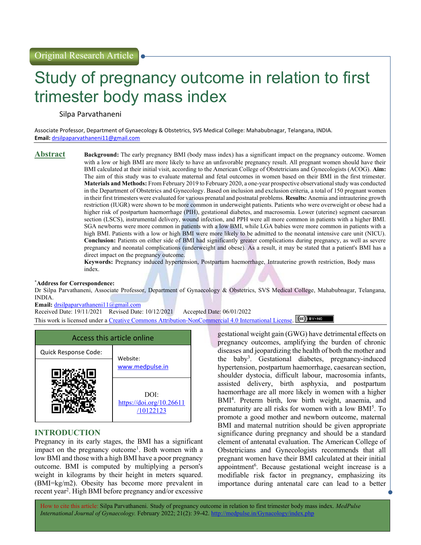# Study of pregnancy outcome in relation to first trimester body mass index

Silpa Parvathaneni

Associate Professor, Department of Gynaecology & Obstetrics, SVS Medical College: Mahabubnagar, Telangana, INDIA. Email: drsilpaparvathaneni11@gmail.com

**Abstract** Background: The early pregnancy BMI (body mass index) has a significant impact on the pregnancy outcome. Women with a low or high BMI are more likely to have an unfavorable pregnancy result. All pregnant women should have their BMI calculated at their initial visit, according to the American College of Obstetricians and Gynecologists (ACOG). **Aim:** The aim of this study was to evaluate maternal and fetal outcomes in women based on their BMI in the first trimester. Materials and Methods: From February 2019 to February 2020, a one-year prospective observational study was conducted in the Department of Obstetrics and Gynecology. Based on inclusion and exclusion criteria, a total of 150 pregnant women in their first trimesters were evaluated for various prenatal and postnatal problems. Results: Anemia and intrauterine growth restriction (IUGR) were shown to be more common in underweight patients. Patients who were overweight or obese had a higher risk of postpartum haemorrhage (PIH), gestational diabetes, and macrosomia. Lower (uterine) segment caesarean section (LSCS), instrumental delivery, wound infection, and PPH were all more common in patients with a higher BMI. SGA newborns were more common in patients with a low BMI, while LGA babies were more common in patients with a high BMI. Patients with a low or high BMI were more likely to be admitted to the neonatal intensive care unit (NICU). Conclusion: Patients on either side of BMI had significantly greater complications during pregnancy, as well as severe pregnancy and neonatal complications (underweight and obese). As a result, it may be stated that a patient's BMI has a direct impact on the pregnancy outcome.

> Keywords: Pregnancy induced hypertension, Postpartum haemorrhage, Intrauterine growth restriction, Body mass index.

#### \*Address for Correspondence:

Dr Silpa Parvathaneni, Associate Professor, Department of Gynaecology & Obstetrics, SVS Medical College, Mahabubnagar, Telangana, INDIA.

Email: drsilpaparvathaneni11@gmail.com

Received Date: 19/11/2021 Revised Date: 10/12/2021 Accepted Date: 06/01/2022 This work is licensed under a Creative Commons Attribution-NonCommercial 4.0 International License. (CC) BY-NO

| Access this article online |                                               |  |  |  |
|----------------------------|-----------------------------------------------|--|--|--|
| Quick Response Code:       |                                               |  |  |  |
|                            | Website:<br>www.medpulse.in                   |  |  |  |
|                            | DOI:<br>https://doi.org/10.26611<br>/10122123 |  |  |  |

## INTRODUCTION

Pregnancy in its early stages, the BMI has a significant impact on the pregnancy outcome<sup>1</sup>. Both women with a low BMI and those with a high BMI have a poor pregnancy outcome. BMI is computed by multiplying a person's weight in kilograms by their height in meters squared. (BMI=kg/m2). Obesity has become more prevalent in recent year<sup>2</sup>. High BMI before pregnancy and/or excessive

gestational weight gain (GWG) have detrimental effects on pregnancy outcomes, amplifying the burden of chronic diseases and jeopardizing the health of both the mother and the baby<sup>3</sup> . Gestational diabetes, pregnancy-induced hypertension, postpartum haemorrhage, caesarean section, shoulder dystocia, difficult labour, macrosomia infants, assisted delivery, birth asphyxia, and postpartum haemorrhage are all more likely in women with a higher BMI<sup>4</sup> . Preterm birth, low birth weight, anaemia, and prematurity are all risks for women with a low BMI<sup>5</sup>. To promote a good mother and newborn outcome, maternal BMI and maternal nutrition should be given appropriate significance during pregnancy and should be a standard element of antenatal evaluation. The American College of Obstetricians and Gynecologists recommends that all pregnant women have their BMI calculated at their initial appointment<sup>6</sup>. Because gestational weight increase is a modifiable risk factor in pregnancy, emphasizing its importance during antenatal care can lead to a better

How to cite this article: Silpa Parvathaneni. Study of pregnancy outcome in relation to first trimester body mass index. MedPulse International Journal of Gynaecology. February 2022; 21(2): 39-42. http://medpulse.in/Gynacology/index.php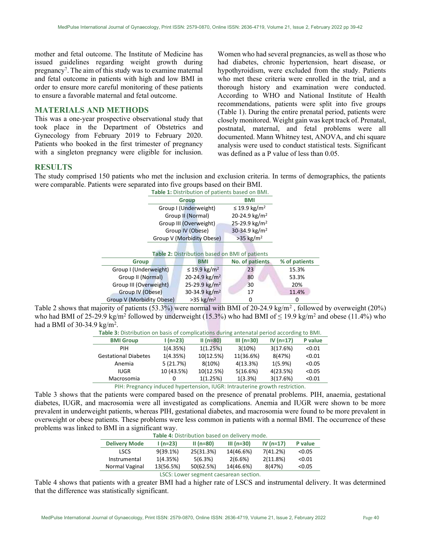mother and fetal outcome. The Institute of Medicine has issued guidelines regarding weight growth during pregnancy<sup>7</sup>. The aim of this study was to examine maternal and fetal outcome in patients with high and low BMI in order to ensure more careful monitoring of these patients to ensure a favorable maternal and fetal outcome.

## MATERIALS AND METHODS

This was a one-year prospective observational study that took place in the Department of Obstetrics and Gynecology from February 2019 to February 2020. Patients who booked in the first trimester of pregnancy with a singleton pregnancy were eligible for inclusion.

Women who had several pregnancies, as well as those who had diabetes, chronic hypertension, heart disease, or hypothyroidism, were excluded from the study. Patients who met these criteria were enrolled in the trial, and a thorough history and examination were conducted. According to WHO and National Institute of Health recommendations, patients were split into five groups (Table 1). During the entire prenatal period, patients were closely monitored. Weight gain was kept track of. Prenatal, postnatal, maternal, and fetal problems were all documented. Mann Whitney test, ANOVA, and chi square analysis were used to conduct statistical tests. Significant was defined as a P value of less than 0.05.

## **RESULTS**

The study comprised 150 patients who met the inclusion and exclusion criteria. In terms of demographics, the patients were comparable. Patients were separated into five groups based on their BMI.

|                                                     | Table 1: Distribution of patients based on BMI. |                           |               |  |  |
|-----------------------------------------------------|-------------------------------------------------|---------------------------|---------------|--|--|
|                                                     | <b>Group</b>                                    | <b>BMI</b>                |               |  |  |
|                                                     | Group I (Underweight)                           | ≤ 19.9 kg/m <sup>2</sup>  |               |  |  |
|                                                     | Group II (Normal)                               | 20-24.9 kg/m <sup>2</sup> |               |  |  |
|                                                     | Group III (Overweight)                          | 25-29.9 kg/m <sup>2</sup> |               |  |  |
|                                                     | Group IV (Obese)                                | 30-34.9 kg/m <sup>2</sup> |               |  |  |
|                                                     | Group V (Morbidity Obese)                       | $>35$ kg/m <sup>2</sup>   |               |  |  |
|                                                     |                                                 |                           |               |  |  |
| Table 2: Distribution based on BMI of patients      |                                                 |                           |               |  |  |
| <b>Group</b>                                        | <b>BMI</b>                                      | No. of patients           | % of patients |  |  |
| Group I (Underweight)                               | ≤ 19.9 kg/m <sup>2</sup>                        | 23                        | 15.3%         |  |  |
| Group II (Normal)                                   | 20-24.9 $\text{kg/m}^2$                         | 80                        | 53.3%         |  |  |
| 25-29.9 kg/m <sup>2</sup><br>Group III (Overweight) |                                                 | 30                        | 20%           |  |  |
| Group IV (Obese)                                    | 30-34.9 kg/m <sup>2</sup>                       | 17                        | 11.4%         |  |  |
| Group V (Morbidity Obese)                           | $>35$ kg/m <sup>2</sup>                         | 0                         | 0             |  |  |

Table 2 shows that majority of patients (53.3%) were normal with BMI of 20-24.9 kg/m<sup>2</sup>, followed by overweight (20%) who had BMI of 25-29.9 kg/m<sup>2</sup> followed by underweight (15.3%) who had BMI of  $\leq$  19.9 kg/m<sup>2</sup> and obese (11.4%) who had a BMI of 30-34.9 kg/m<sup>2</sup>.

| ----                                                                                      | $\cdot$ $\cdot$ $\sim$ $\sim$ $\cdot$ $\cdot$ | $11 - 221$ | $\sim$ $\sim$ $\sim$ $\sim$ $\sim$ $\sim$ | $\sim$ $\sim$ $\sim$ $\sim$ $\sim$ $\sim$ | .              |
|-------------------------------------------------------------------------------------------|-----------------------------------------------|------------|-------------------------------------------|-------------------------------------------|----------------|
| <b>BMI Group</b>                                                                          | $1(n=23)$                                     | $II(n=80)$ | III (n=30)                                | $IV (n=17)$                               | <b>P</b> value |
| Table 3: Distribution on basis of complications during antenatal period according to BMI. |                                               |            |                                           |                                           |                |

| PIH                         | 1(4.35%)   | 1(1.25%)  | 3(10%)     | 3(17.6%)   | < 0.01 |  |
|-----------------------------|------------|-----------|------------|------------|--------|--|
| <b>Gestational Diabetes</b> | 1(4.35%)   | 10(12.5%) | 11(36.6%)  | 8(47%)     | < 0.01 |  |
| Anemia                      | 5(21.7%)   | 8(10%)    | 4(13.3%)   | $1(5.9\%)$ | < 0.05 |  |
| IUGR                        | 10 (43.5%) | 10(12.5%) | 5(16.6%)   | 4(23.5%)   | < 0.05 |  |
| Macrosomia                  |            | 1(1.25%)  | $1(3.3\%)$ | 3(17.6%)   | < 0.01 |  |
|                             |            |           |            |            |        |  |

PIH: Pregnancy induced hypertension, IUGR: Intrauterine growth restriction.

Table 3 shows that the patients were compared based on the presence of prenatal problems. PIH, anaemia, gestational diabetes, IUGR, and macrosomia were all investigated as complications. Anemia and IUGR were shown to be more prevalent in underweight patients, whereas PIH, gestational diabetes, and macrosomia were found to be more prevalent in overweight or obese patients. These problems were less common in patients with a normal BMI. The occurrence of these problems was linked to BMI in a significant way.

| Table 4: Distribution based on delivery mode. |                             |            |              |             |         |
|-----------------------------------------------|-----------------------------|------------|--------------|-------------|---------|
| <b>Delivery Mode</b>                          | $1(n=23)$                   | $II(n=80)$ | $III (n=30)$ | IV $(n=17)$ | P value |
| <b>LSCS</b>                                   | $9(39.1\%)$                 | 25(31.3%)  | 14(46.6%)    | 7(41.2%)    | < 0.05  |
| Instrumental                                  | 1(4.35%)                    | 5(6.3%)    | 2(6.6%)      | 2(11.8%)    | < 0.01  |
| Normal Vaginal                                | 13(56.5%)                   | 50(62.5%)  | 14(46.6%)    | 8(47%)      | < 0.05  |
|                                               | $\sim$ $\sim$ $\sim$ $\sim$ |            |              |             |         |

## LSCS: Lower segment caesarean section.

Table 4 shows that patients with a greater BMI had a higher rate of LSCS and instrumental delivery. It was determined that the difference was statistically significant.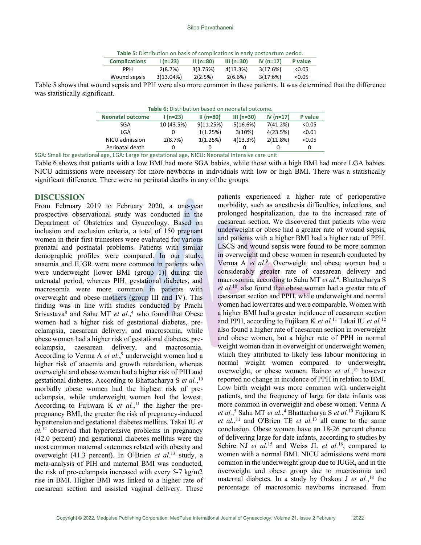| <b>Complications</b> | $1(n=23)$ | $II(n=80)$ | $III (n=30)$ | IV $(n=17)$ | P value |
|----------------------|-----------|------------|--------------|-------------|---------|
| <b>PPH</b>           | 2(8.7%)   | 3(3.75%)   | 4(13.3%)     | 3(17.6%)    | < 0.05  |
| Wound sepsis         | 3(13.04%) | 2(2.5%)    | 2(6.6%)      | 3(17.6%)    | < 0.05  |

Table 5 shows that wound sepsis and PPH were also more common in these patients. It was determined that the difference was statistically significant.

| Table 6: Distribution based on neonatal outcome. |            |            |              |             |         |
|--------------------------------------------------|------------|------------|--------------|-------------|---------|
| <b>Neonatal outcome</b>                          | $1(n=23)$  | $II(n=80)$ | $III (n=30)$ | IV $(n=17)$ | P value |
| SGA                                              | 10 (43.5%) | 9(11.25%)  | 5(16.6%)     | 7(41.2%)    | < 0.05  |
| LGA                                              |            | 1(1.25%)   | 3(10%)       | 4(23.5%)    | < 0.01  |
| NICU admission                                   | 2(8.7%)    | 1(1.25%)   | 4(13.3%)     | 2(11.8%)    | < 0.05  |
| Perinatal death                                  |            |            |              |             | 0       |

SGA: Small for gestational age, LGA: Large for gestational age, NICU: Neonatal intensive care unit

Table 6 shows that patients with a low BMI had more SGA babies, while those with a high BMI had more LGA babies. NICU admissions were necessary for more newborns in individuals with low or high BMI. There was a statistically significant difference. There were no perinatal deaths in any of the groups.

## DISCUSSION

From February 2019 to February 2020, a one-year prospective observational study was conducted in the Department of Obstetrics and Gynecology. Based on inclusion and exclusion criteria, a total of 150 pregnant women in their first trimesters were evaluated for various prenatal and postnatal problems. Patients with similar demographic profiles were compared. In our study, anaemia and IUGR were more common in patients who were underweight [lower BMI (group 1)] during the antenatal period, whereas PIH, gestational diabetes, and macrosomia were more common in patients with overweight and obese mothers (group III and IV). This finding was in line with studies conducted by Prachi Srivastava<sup>8</sup> and Sahu MT et  $al.$ <sup>4</sup> who found that Obese women had a higher risk of gestational diabetes, preeclampsia, caesarean delivery, and macrosomia, while obese women had a higher risk of gestational diabetes, preeclampsia, caesarean delivery, and macrosomia. According to Verma A et al.,<sup>9</sup> underweight women had a higher risk of anaemia and growth retardation, whereas overweight and obese women had a higher risk of PIH and gestational diabetes. According to Bhattacharya S et al.,<sup>10</sup> morbidly obese women had the highest risk of preeclampsia, while underweight women had the lowest. According to Fujiwara K et  $al$ ,<sup>11</sup> the higher the prepregnancy BMI, the greater the risk of pregnancy-induced hypertension and gestational diabetes mellitus. Takai IU et  $al$ <sup>12</sup> observed that hypertensive problems in pregnancy (42.0 percent) and gestational diabetes mellitus were the most common maternal outcomes related with obesity and overweight (41.3 percent). In O'Brien et al.<sup>13</sup> study, a meta-analysis of PIH and maternal BMI was conducted, the risk of pre-eclampsia increased with every 5-7 kg/m2 rise in BMI. Higher BMI was linked to a higher rate of caesarean section and assisted vaginal delivery. These

patients experienced a higher rate of perioperative morbidity, such as anesthesia difficulties, infections, and prolonged hospitalization, due to the increased rate of caesarean section. We discovered that patients who were underweight or obese had a greater rate of wound sepsis, and patients with a higher BMI had a higher rate of PPH. LSCS and wound sepsis were found to be more common in overweight and obese women in research conducted by Verma A et al.<sup>9</sup>. Overweight and obese women had a considerably greater rate of caesarean delivery and macrosomia, according to Sahu MT et al.<sup>4</sup>. Bhattacharya S et al.<sup>10</sup> also found that obese women had a greater rate of caesarean section and PPH, while underweight and normal women had lower rates and were comparable. Women with a higher BMI had a greater incidence of caesarean section and PPH, according to Fujikara K et al.<sup>11</sup> Takai IU et al.<sup>12</sup> also found a higher rate of caesarean section in overweight and obese women, but a higher rate of PPH in normal weight women than in overweight or underweight women, which they attributed to likely less labour monitoring in normal weight women compared to underweight, overweight, or obese women. Bainco et al.,<sup>14</sup> however reported no change in incidence of PPH in relation to BMI. Low birth weight was more common with underweight patients, and the frequency of large for date infants was more common in overweight and obese women. Verma A et al.,<sup>5</sup> Sahu MT et al.,<sup>4</sup> Bhattacharya S et al.<sup>10</sup> Fujikara K et al.,<sup>11</sup> and O'Brien TE et al.<sup>13</sup> all came to the same conclusion. Obese women have an 18-26 percent chance of delivering large for date infants, according to studies by Sebire NJ *et al.*<sup>15</sup> and Weiss JL *et al.*<sup>16</sup>, compared to women with a normal BMI. NICU admissions were more common in the underweight group due to IUGR, and in the overweight and obese group due to macrosomia and maternal diabetes. In a study by Orskou J et al.,<sup>18</sup> the percentage of macrosomic newborns increased from